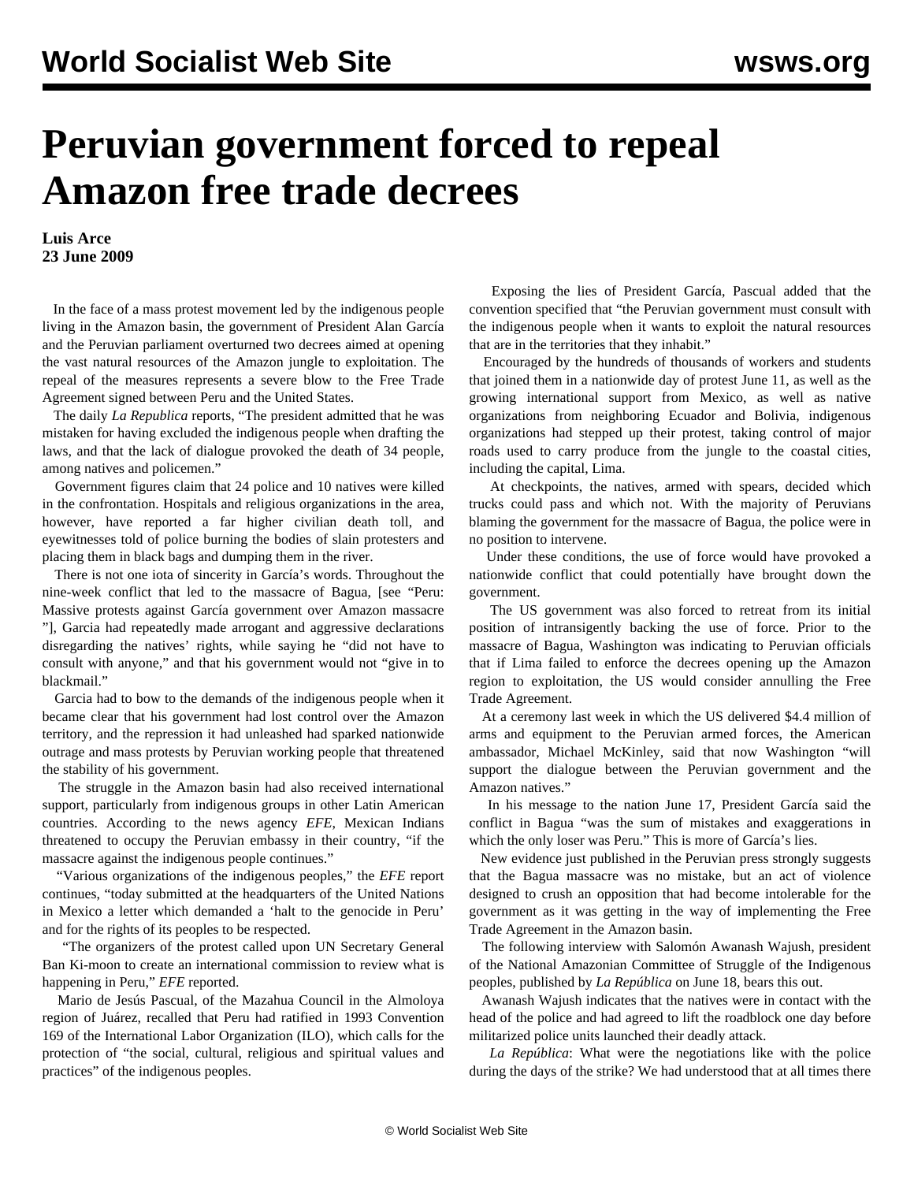## **Peruvian government forced to repeal Amazon free trade decrees**

**Luis Arce 23 June 2009**

 In the face of a mass protest movement led by the indigenous people living in the Amazon basin, the government of President Alan García and the Peruvian parliament overturned two decrees aimed at opening the vast natural resources of the Amazon jungle to exploitation. The repeal of the measures represents a severe blow to the Free Trade Agreement signed between Peru and the United States.

 The daily *La Republica* reports, "The president admitted that he was mistaken for having excluded the indigenous people when drafting the laws, and that the lack of dialogue provoked the death of 34 people, among natives and policemen."

 Government figures claim that 24 police and 10 natives were killed in the confrontation. Hospitals and religious organizations in the area, however, have reported a far higher civilian death toll, and eyewitnesses told of police burning the bodies of slain protesters and placing them in black bags and dumping them in the river.

 There is not one iota of sincerity in García's words. Throughout the nine-week conflict that led to the massacre of Bagua, [see "[Peru:](/en/articles/2009/jun2009/peru-j13.shtml) [Massive protests against García government over Amazon massacre](/en/articles/2009/jun2009/peru-j13.shtml) "], Garcia had repeatedly made arrogant and aggressive declarations disregarding the natives' rights, while saying he "did not have to consult with anyone," and that his government would not "give in to blackmail."

 Garcia had to bow to the demands of the indigenous people when it became clear that his government had lost control over the Amazon territory, and the repression it had unleashed had sparked nationwide outrage and mass protests by Peruvian working people that threatened the stability of his government.

 The struggle in the Amazon basin had also received international support, particularly from indigenous groups in other Latin American countries. According to the news agency *EFE*, Mexican Indians threatened to occupy the Peruvian embassy in their country, "if the massacre against the indigenous people continues."

 "Various organizations of the indigenous peoples," the *EFE* report continues, "today submitted at the headquarters of the United Nations in Mexico a letter which demanded a 'halt to the genocide in Peru' and for the rights of its peoples to be respected.

 "The organizers of the protest called upon UN Secretary General Ban Ki-moon to create an international commission to review what is happening in Peru," *EFE* reported.

 Mario de Jesús Pascual, of the Mazahua Council in the Almoloya region of Juárez, recalled that Peru had ratified in 1993 Convention 169 of the International Labor Organization (ILO), which calls for the protection of "the social, cultural, religious and spiritual values and practices" of the indigenous peoples.

 Exposing the lies of President García, Pascual added that the convention specified that "the Peruvian government must consult with the indigenous people when it wants to exploit the natural resources that are in the territories that they inhabit."

 Encouraged by the hundreds of thousands of workers and students that joined them in a nationwide day of protest June 11, as well as the growing international support from Mexico, as well as native organizations from neighboring Ecuador and Bolivia, indigenous organizations had stepped up their protest, taking control of major roads used to carry produce from the jungle to the coastal cities, including the capital, Lima.

 At checkpoints, the natives, armed with spears, decided which trucks could pass and which not. With the majority of Peruvians blaming the government for the massacre of Bagua, the police were in no position to intervene.

 Under these conditions, the use of force would have provoked a nationwide conflict that could potentially have brought down the government.

 The US government was also forced to retreat from its initial position of intransigently backing the use of force. Prior to the massacre of Bagua, Washington was indicating to Peruvian officials that if Lima failed to enforce the decrees opening up the Amazon region to exploitation, the US would consider annulling the Free Trade Agreement.

 At a ceremony last week in which the US delivered \$4.4 million of arms and equipment to the Peruvian armed forces, the American ambassador, Michael McKinley, said that now Washington "will support the dialogue between the Peruvian government and the Amazon natives."

 In his message to the nation June 17, President García said the conflict in Bagua "was the sum of mistakes and exaggerations in which the only loser was Peru." This is more of García's lies.

 New evidence just published in the Peruvian press strongly suggests that the Bagua massacre was no mistake, but an act of violence designed to crush an opposition that had become intolerable for the government as it was getting in the way of implementing the Free Trade Agreement in the Amazon basin.

 The following interview with Salomón Awanash Wajush, president of the National Amazonian Committee of Struggle of the Indigenous peoples, published by *La República* on June 18, bears this out.

 Awanash Wajush indicates that the natives were in contact with the head of the police and had agreed to lift the roadblock one day before militarized police units launched their deadly attack.

 *La República*: What were the negotiations like with the police during the days of the strike? We had understood that at all times there